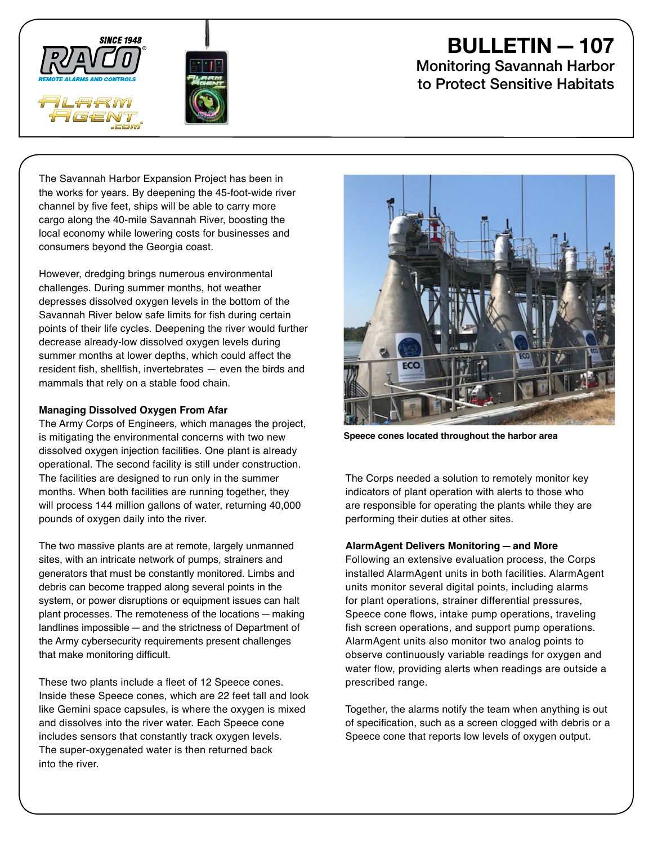



# BULLETIN—107

Monitoring Savannah Harbor to Protect Sensitive Habitats

The Savannah Harbor Expansion Project has been in the works for years. By deepening the 45-foot-wide river channel by five feet, ships will be able to carry more cargo along the 40-mile Savannah River, boosting the local economy while lowering costs for businesses and consumers beyond the Georgia coast.

However, dredging brings numerous environmental challenges. During summer months, hot weather depresses dissolved oxygen levels in the bottom of the Savannah River below safe limits for fish during certain points of their life cycles. Deepening the river would further decrease already-low dissolved oxygen levels during summer months at lower depths, which could affect the resident fish, shellfish, invertebrates — even the birds and mammals that rely on a stable food chain.

## **Managing Dissolved Oxygen From Afar**

The Army Corps of Engineers, which manages the project, is mitigating the environmental concerns with two new dissolved oxygen injection facilities. One plant is already operational. The second facility is still under construction. The facilities are designed to run only in the summer months. When both facilities are running together, they will process 144 million gallons of water, returning 40,000 pounds of oxygen daily into the river.

The two massive plants are at remote, largely unmanned sites, with an intricate network of pumps, strainers and generators that must be constantly monitored. Limbs and debris can become trapped along several points in the system, or power disruptions or equipment issues can halt plant processes. The remoteness of the locations—making landlines impossible—and the strictness of Department of the Army cybersecurity requirements present challenges that make monitoring difficult.

These two plants include a fleet of 12 Speece cones. Inside these Speece cones, which are 22 feet tall and look like Gemini space capsules, is where the oxygen is mixed and dissolves into the river water. Each Speece cone includes sensors that constantly track oxygen levels. The super-oxygenated water is then returned back into the river.



**Speece cones located throughout the harbor area**

The Corps needed a solution to remotely monitor key indicators of plant operation with alerts to those who are responsible for operating the plants while they are performing their duties at other sites.

## **AlarmAgent Delivers Monitoring—and More**

Following an extensive evaluation process, the Corps installed AlarmAgent units in both facilities. AlarmAgent units monitor several digital points, including alarms for plant operations, strainer differential pressures, Speece cone flows, intake pump operations, traveling fish screen operations, and support pump operations. AlarmAgent units also monitor two analog points to observe continuously variable readings for oxygen and water flow, providing alerts when readings are outside a prescribed range.

Together, the alarms notify the team when anything is out of specification, such as a screen clogged with debris or a Speece cone that reports low levels of oxygen output.